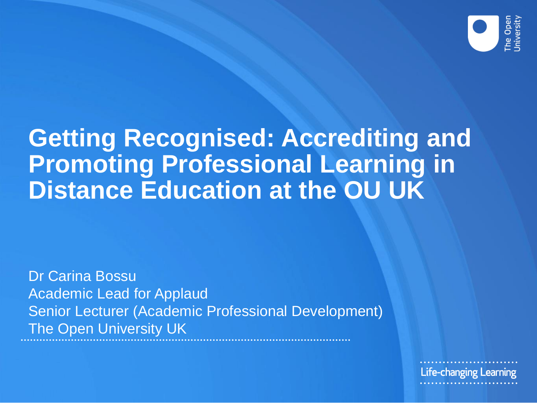

#### **Getting Recognised: Accrediting and Promoting Professional Learning in Distance Education at the OU UK**

Dr Carina Bossu Academic Lead for Applaud Senior Lecturer (Academic Professional Development) The Open University UK

Life-changing Learning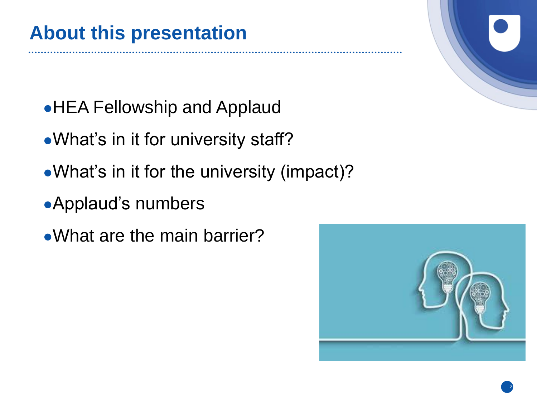- HEA Fellowship and Applaud
- What's in it for university staff?
- What's in it for the university (impact)?
- Applaud's numbers
- What are the main barrier?

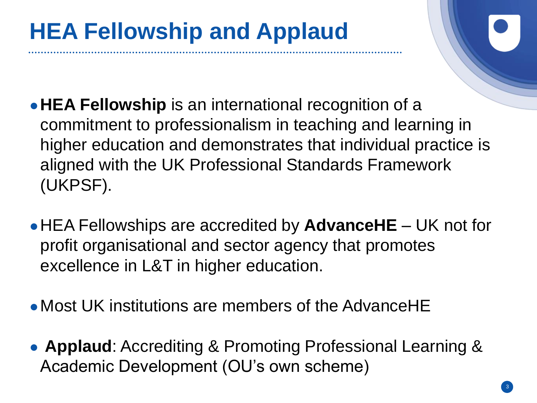- ●**HEA Fellowship** is an international recognition of a commitment to professionalism in teaching and learning in higher education and demonstrates that individual practice is aligned with the UK Professional Standards Framework (UKPSF).
- ●HEA Fellowships are accredited by **AdvanceHE** UK not for profit organisational and sector agency that promotes excellence in L&T in higher education.
- Most UK institutions are members of the AdvanceHE
- **Applaud**: Accrediting & Promoting Professional Learning & Academic Development (OU's own scheme)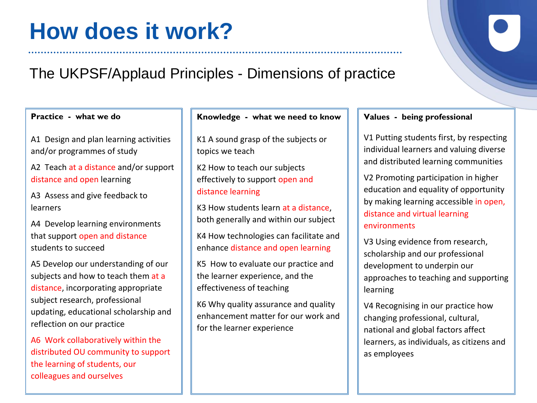#### **How does it work?**

#### The UKPSF/Applaud Principles - Dimensions of practice

**Practice - what we do** 

A1 Design and plan learning activities and/or programmes of study

A2 Teach at a distance and/or support distance and open learning

A3 Assess and give feedback to learners

A4 Develop learning environments that support open and distance students to succeed

A5 Develop our understanding of our subjects and how to teach them at a distance, incorporating appropriate subject research, professional updating, educational scholarship and reflection on our practice

A6 Work collaboratively within the distributed OU community to support the learning of students, our colleagues and ourselves

#### **Knowledge - what we need to know**

K1 A sound grasp of the subjects or topics we teach

K2 How to teach our subjects effectively to support open and distance learning

K3 How students learn at a distance, both generally and within our subject

K4 How technologies can facilitate and enhance distance and open learning

K5 How to evaluate our practice and the learner experience, and the effectiveness of teaching

K6 Why quality assurance and quality enhancement matter for our work and for the learner experience

#### **Values - being professional**

V1 Putting students first, by respecting individual learners and valuing diverse and distributed learning communities

V2 Promoting participation in higher education and equality of opportunity by making learning accessible in open, distance and virtual learning environments

V3 Using evidence from research, scholarship and our professional development to underpin our approaches to teaching and supporting learning

V4 Recognising in our practice how changing professional, cultural, national and global factors affect learners, as individuals, as citizens and as employees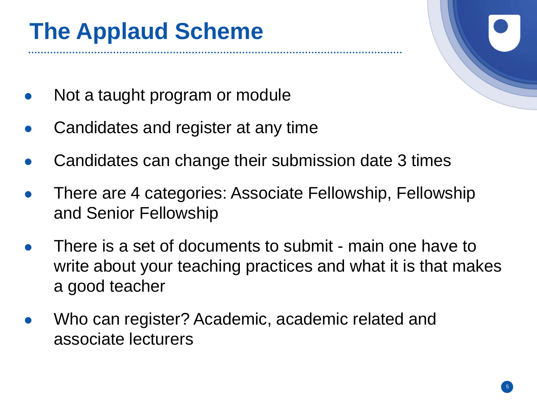### **The Applaud Scheme**

- Not a taught program or module
- Candidates and register at any time
- Candidates can change their submission date 3 times
- There are 4 categories: Associate Fellowship, Fellowship and Senior Fellowship
- There is a set of documents to submit main one have to write about your teaching practices and what it is that makes a good teacher
- Who can register? Academic, academic related and associate lecturers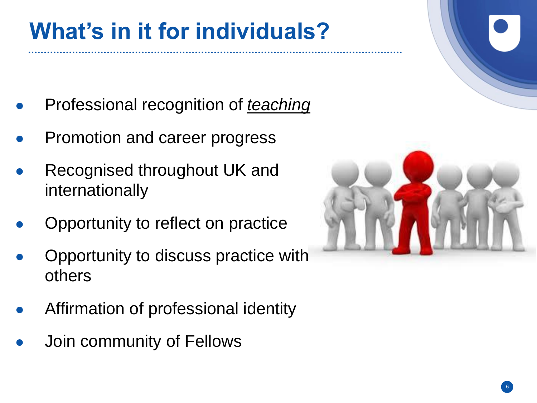## **What's in it for individuals?**

- **Professional recognition of** *teaching*
- Promotion and career progress
- Recognised throughout UK and internationally
- Opportunity to reflect on practice
- Opportunity to discuss practice with others
- Affirmation of professional identity
- Join community of Fellows

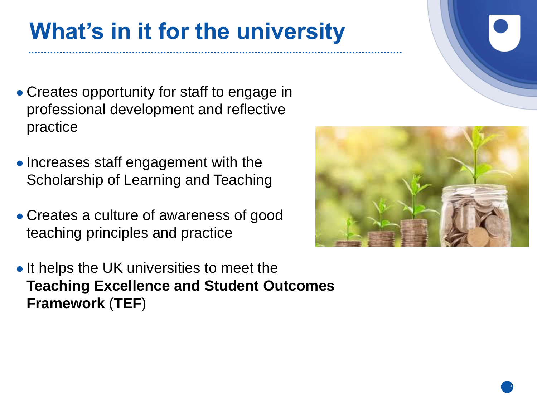### **What's in it for the university**

- Creates opportunity for staff to engage in professional development and reflective practice
- Increases staff engagement with the Scholarship of Learning and Teaching
- Creates a culture of awareness of good teaching principles and practice
- It helps the UK universities to meet the **Teaching Excellence and Student Outcomes Framework** (**TEF**)



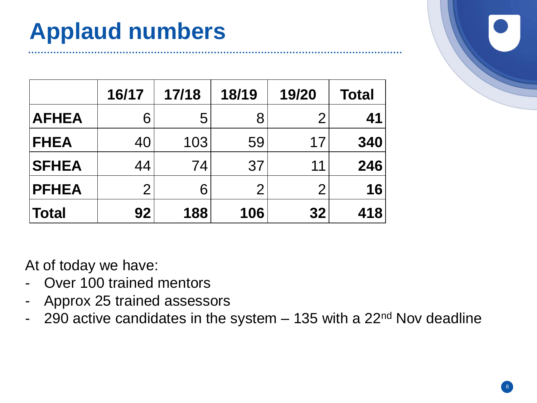### **Applaud numbers**

|              | 16/17          | 17/18 | 18/19          | 19/20          | <b>Total</b> |
|--------------|----------------|-------|----------------|----------------|--------------|
| <b>AFHEA</b> | 6              | 5     | 8              |                | 41           |
| <b>FHEA</b>  | 40             | 103   | 59             | 17             | 340          |
| <b>SFHEA</b> | 44             | 74    | 37             | 11             | 246          |
| <b>PFHEA</b> | $\overline{2}$ | 6     | $\overline{2}$ | $\overline{2}$ | 16           |
| <b>Total</b> | 92             | 188   | 106            | 32             | 418          |

At of today we have:

- Over 100 trained mentors
- Approx 25 trained assessors
- 290 active candidates in the system  $-$  135 with a 22<sup>nd</sup> Nov deadline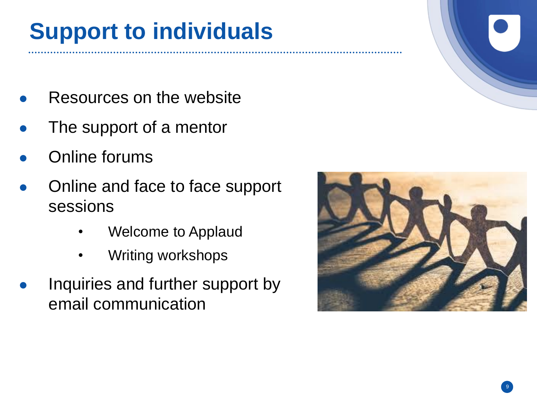### **Support to individuals**

- Resources on the website
- The support of a mentor
- Online forums
- Online and face to face support sessions
	- Welcome to Applaud
	- Writing workshops
- Inquiries and further support by email communication

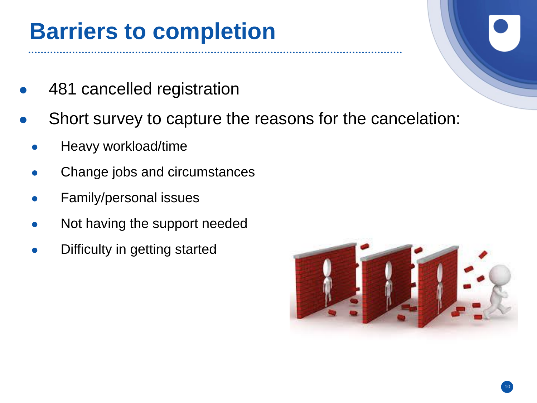#### **Barriers to completion**

- 481 cancelled registration
- Short survey to capture the reasons for the cancelation:
	- Heavy workload/time
	- Change jobs and circumstances
	- Family/personal issues
	- Not having the support needed
	- Difficulty in getting started

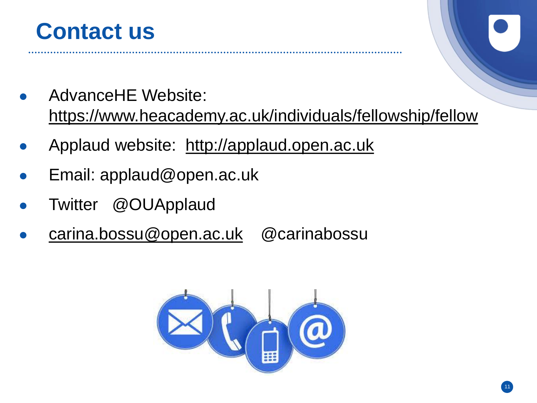

- AdvanceHE Website: <https://www.heacademy.ac.uk/individuals/fellowship/fellow>
- Applaud website: [http://applaud.open.ac.uk](http://applaud.open.ac.uk/)
- Email: applaud@open.ac.uk
- Twitter @OUApplaud
- [carina.bossu@open.ac.uk](mailto:carina.bossu@open.ac.uk) @carinabossu